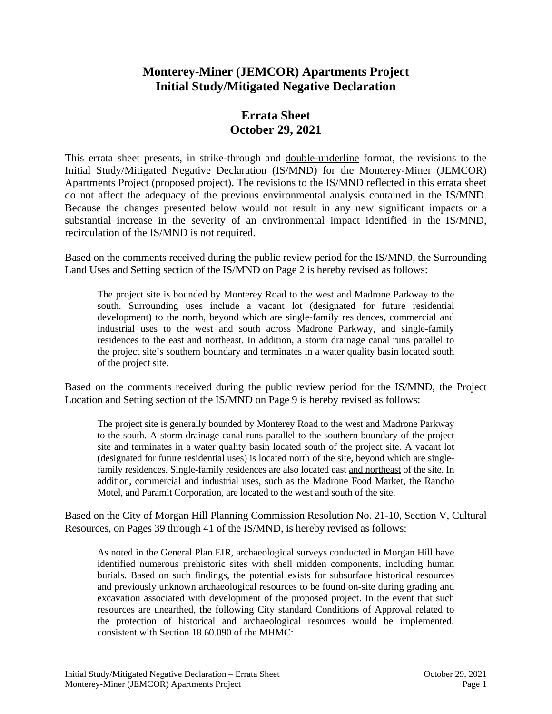## **Monterey-Miner (JEMCOR) Apartments Project Initial Study/Mitigated Negative Declaration**

## **Errata Sheet October 29, 2021**

This errata sheet presents, in strike-through and double-underline format, the revisions to the Initial Study/Mitigated Negative Declaration (IS/MND) for the Monterey-Miner (JEMCOR) Apartments Project (proposed project). The revisions to the IS/MND reflected in this errata sheet do not affect the adequacy of the previous environmental analysis contained in the IS/MND. Because the changes presented below would not result in any new significant impacts or a substantial increase in the severity of an environmental impact identified in the IS/MND, recirculation of the IS/MND is not required.

Based on the comments received during the public review period for the IS/MND, the Surrounding Land Uses and Setting section of the IS/MND on Page 2 is hereby revised as follows:

The project site is bounded by Monterey Road to the west and Madrone Parkway to the south. Surrounding uses include a vacant lot (designated for future residential development) to the north, beyond which are single-family residences, commercial and industrial uses to the west and south across Madrone Parkway, and single-family residences to the east and northeast. In addition, a storm drainage canal runs parallel to the project site's southern boundary and terminates in a water quality basin located south of the project site.

Based on the comments received during the public review period for the IS/MND, the Project Location and Setting section of the IS/MND on Page 9 is hereby revised as follows:

The project site is generally bounded by Monterey Road to the west and Madrone Parkway to the south. A storm drainage canal runs parallel to the southern boundary of the project site and terminates in a water quality basin located south of the project site. A vacant lot (designated for future residential uses) is located north of the site, beyond which are singlefamily residences. Single-family residences are also located east and northeast of the site. In addition, commercial and industrial uses, such as the Madrone Food Market, the Rancho Motel, and Paramit Corporation, are located to the west and south of the site.

Based on the City of Morgan Hill Planning Commission Resolution No. 21-10, Section V, Cultural Resources, on Pages 39 through 41 of the IS/MND, is hereby revised as follows:

As noted in the General Plan EIR, archaeological surveys conducted in Morgan Hill have identified numerous prehistoric sites with shell midden components, including human burials. Based on such findings, the potential exists for subsurface historical resources and previously unknown archaeological resources to be found on-site during grading and excavation associated with development of the proposed project. In the event that such resources are unearthed, the following City standard Conditions of Approval related to the protection of historical and archaeological resources would be implemented, consistent with Section 18.60.090 of the MHMC: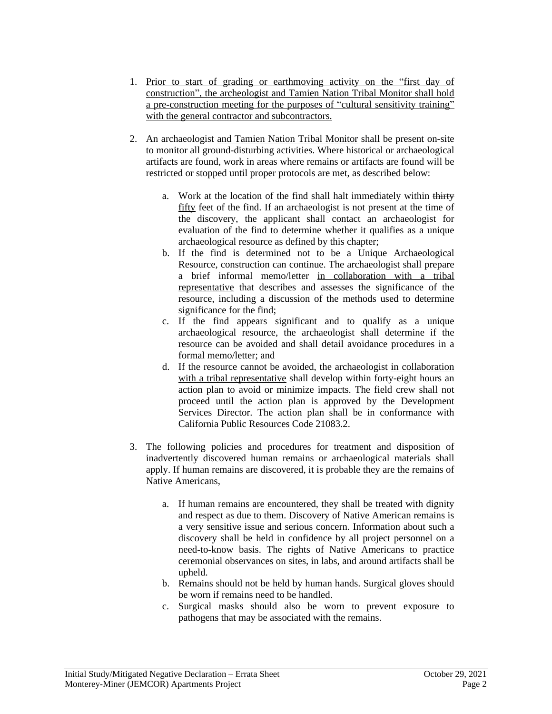- 1. Prior to start of grading or earthmoving activity on the "first day of construction", the archeologist and Tamien Nation Tribal Monitor shall hold a pre-construction meeting for the purposes of "cultural sensitivity training" with the general contractor and subcontractors.
- 2. An archaeologist and Tamien Nation Tribal Monitor shall be present on-site to monitor all ground-disturbing activities. Where historical or archaeological artifacts are found, work in areas where remains or artifacts are found will be restricted or stopped until proper protocols are met, as described below:
	- a. Work at the location of the find shall halt immediately within thirty fifty feet of the find. If an archaeologist is not present at the time of the discovery, the applicant shall contact an archaeologist for evaluation of the find to determine whether it qualifies as a unique archaeological resource as defined by this chapter;
	- b. If the find is determined not to be a Unique Archaeological Resource, construction can continue. The archaeologist shall prepare a brief informal memo/letter in collaboration with a tribal representative that describes and assesses the significance of the resource, including a discussion of the methods used to determine significance for the find;
	- c. If the find appears significant and to qualify as a unique archaeological resource, the archaeologist shall determine if the resource can be avoided and shall detail avoidance procedures in a formal memo/letter; and
	- d. If the resource cannot be avoided, the archaeologist in collaboration with a tribal representative shall develop within forty-eight hours an action plan to avoid or minimize impacts. The field crew shall not proceed until the action plan is approved by the Development Services Director. The action plan shall be in conformance with California Public Resources Code 21083.2.
- 3. The following policies and procedures for treatment and disposition of inadvertently discovered human remains or archaeological materials shall apply. If human remains are discovered, it is probable they are the remains of Native Americans,
	- a. If human remains are encountered, they shall be treated with dignity and respect as due to them. Discovery of Native American remains is a very sensitive issue and serious concern. Information about such a discovery shall be held in confidence by all project personnel on a need-to-know basis. The rights of Native Americans to practice ceremonial observances on sites, in labs, and around artifacts shall be upheld.
	- b. Remains should not be held by human hands. Surgical gloves should be worn if remains need to be handled.
	- c. Surgical masks should also be worn to prevent exposure to pathogens that may be associated with the remains.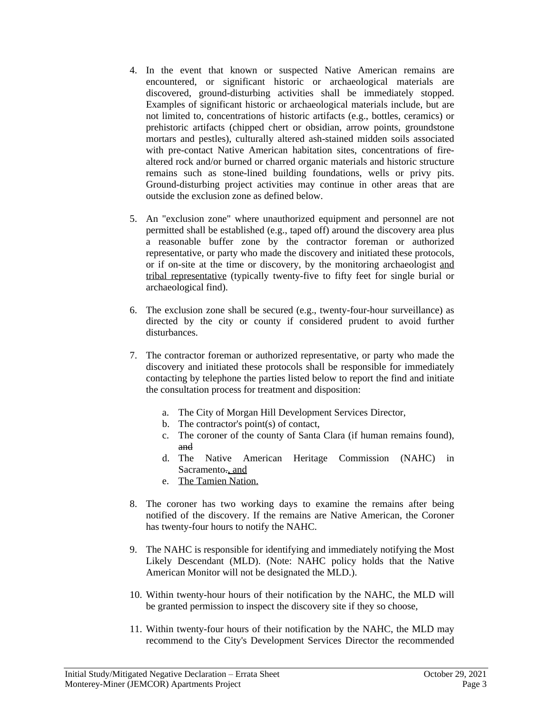- 4. In the event that known or suspected Native American remains are encountered, or significant historic or archaeological materials are discovered, ground-disturbing activities shall be immediately stopped. Examples of significant historic or archaeological materials include, but are not limited to, concentrations of historic artifacts (e.g., bottles, ceramics) or prehistoric artifacts (chipped chert or obsidian, arrow points, groundstone mortars and pestles), culturally altered ash-stained midden soils associated with pre-contact Native American habitation sites, concentrations of firealtered rock and/or burned or charred organic materials and historic structure remains such as stone-lined building foundations, wells or privy pits. Ground-disturbing project activities may continue in other areas that are outside the exclusion zone as defined below.
- 5. An "exclusion zone" where unauthorized equipment and personnel are not permitted shall be established (e.g., taped off) around the discovery area plus a reasonable buffer zone by the contractor foreman or authorized representative, or party who made the discovery and initiated these protocols, or if on-site at the time or discovery, by the monitoring archaeologist and tribal representative (typically twenty-five to fifty feet for single burial or archaeological find).
- 6. The exclusion zone shall be secured (e.g., twenty-four-hour surveillance) as directed by the city or county if considered prudent to avoid further disturbances.
- 7. The contractor foreman or authorized representative, or party who made the discovery and initiated these protocols shall be responsible for immediately contacting by telephone the parties listed below to report the find and initiate the consultation process for treatment and disposition:
	- a. The City of Morgan Hill Development Services Director,
	- b. The contractor's point(s) of contact,
	- c. The coroner of the county of Santa Clara (if human remains found), and
	- d. The Native American Heritage Commission (NAHC) in Sacramento<sub>r</sub>, and
	- e. The Tamien Nation.
- 8. The coroner has two working days to examine the remains after being notified of the discovery. If the remains are Native American, the Coroner has twenty-four hours to notify the NAHC.
- 9. The NAHC is responsible for identifying and immediately notifying the Most Likely Descendant (MLD). (Note: NAHC policy holds that the Native American Monitor will not be designated the MLD.).
- 10. Within twenty-hour hours of their notification by the NAHC, the MLD will be granted permission to inspect the discovery site if they so choose,
- 11. Within twenty-four hours of their notification by the NAHC, the MLD may recommend to the City's Development Services Director the recommended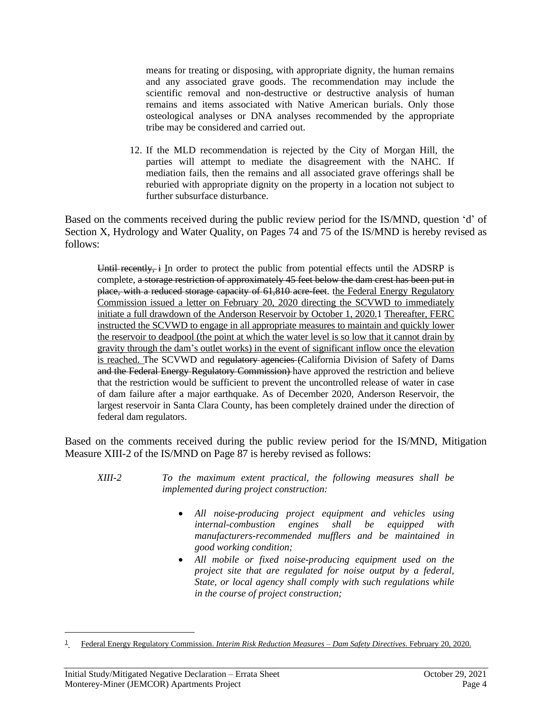means for treating or disposing, with appropriate dignity, the human remains and any associated grave goods. The recommendation may include the scientific removal and non-destructive or destructive analysis of human remains and items associated with Native American burials. Only those osteological analyses or DNA analyses recommended by the appropriate tribe may be considered and carried out.

12. If the MLD recommendation is rejected by the City of Morgan Hill, the parties will attempt to mediate the disagreement with the NAHC. If mediation fails, then the remains and all associated grave offerings shall be reburied with appropriate dignity on the property in a location not subject to further subsurface disturbance.

Based on the comments received during the public review period for the IS/MND, question 'd' of Section X, Hydrology and Water Quality, on Pages 74 and 75 of the IS/MND is hereby revised as follows:

Until recently,  $\frac{1}{2}$  In order to protect the public from potential effects until the ADSRP is complete, a storage restriction of approximately 45 feet below the dam crest has been put in place, with a reduced storage capacity of 61,810 acre-feet. the Federal Energy Regulatory Commission issued a letter on February 20, 2020 directing the SCVWD to immediately initiate a full drawdown of the Anderson Reservoir by October 1, 2020.1 Thereafter, FERC instructed the SCVWD to engage in all appropriate measures to maintain and quickly lower the reservoir to deadpool (the point at which the water level is so low that it cannot drain by gravity through the dam's outlet works) in the event of significant inflow once the elevation is reached. The SCVWD and regulatory agencies (California Division of Safety of Dams and the Federal Energy Regulatory Commission) have approved the restriction and believe that the restriction would be sufficient to prevent the uncontrolled release of water in case of dam failure after a major earthquake. As of December 2020, Anderson Reservoir, the largest reservoir in Santa Clara County, has been completely drained under the direction of federal dam regulators.

Based on the comments received during the public review period for the IS/MND, Mitigation Measure XIII-2 of the IS/MND on Page 87 is hereby revised as follows:

- *XIII-2 To the maximum extent practical, the following measures shall be implemented during project construction:*
	- *All noise-producing project equipment and vehicles using internal-combustion engines shall be equipped with manufacturers-recommended mufflers and be maintained in good working condition;*
	- *All mobile or fixed noise-producing equipment used on the project site that are regulated for noise output by a federal, State, or local agency shall comply with such regulations while in the course of project construction;*

<sup>1</sup> Federal Energy Regulatory Commission. *Interim Risk Reduction Measures – Dam Safety Directives*. February 20, 2020.